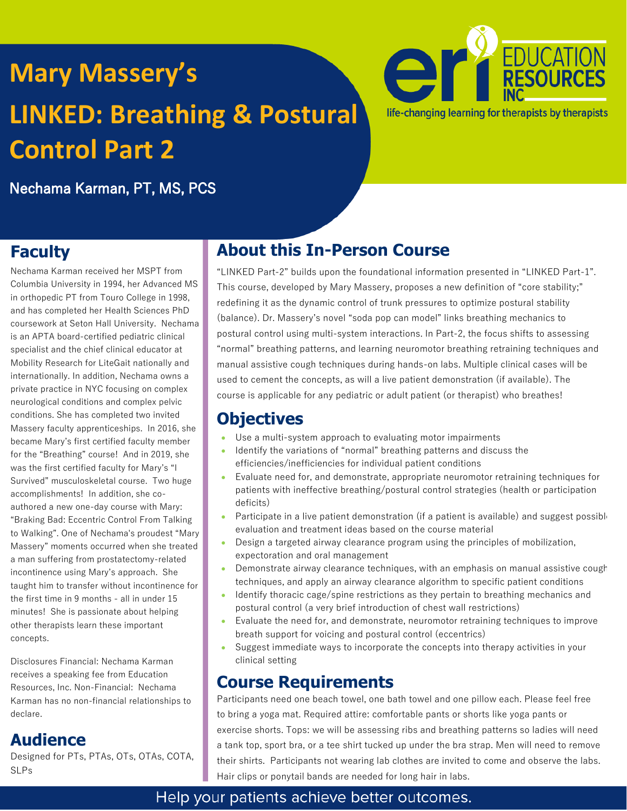# **Mary Massery's LINKED: Breathing & Postural Control Part 2**



Nechama Karman, PT, MS, PCS

# **Faculty**

Nechama Karman received her MSPT from Columbia University in 1994, her Advanced MS in orthopedic PT from Touro College in 1998, and has completed her Health Sciences PhD coursework at Seton Hall University. Nechama is an APTA board-certified pediatric clinical specialist and the chief clinical educator at Mobility Research for LiteGait nationally and internationally. In addition, Nechama owns a private practice in NYC focusing on complex neurological conditions and complex pelvic conditions. She has completed two invited Massery faculty apprenticeships. In 2016, she became Mary's first certified faculty member for the "Breathing" course! And in 2019, she was the first certified faculty for Mary's "I Survived" musculoskeletal course. Two huge accomplishments! In addition, she coauthored a new one-day course with Mary: "Braking Bad: Eccentric Control From Talking to Walking". One of Nechama's proudest "Mary Massery" moments occurred when she treated a man suffering from prostatectomy-related incontinence using Mary's approach. She taught him to transfer without incontinence for the first time in 9 months - all in under 15 minutes! She is passionate about helping other therapists learn these important concepts.

Disclosures Financial: Nechama Karman receives a speaking fee from Education Resources, Inc. Non-Financial: Nechama Karman has no non-financial relationships to declare.

## **Audience**

Designed for PTs, PTAs, OTs, OTAs, COTA, SLPs

# **About this In-Person Course**

"LINKED Part-2" builds upon the foundational information presented in "LINKED Part-1". This course, developed by Mary Massery, proposes a new definition of "core stability;" redefining it as the dynamic control of trunk pressures to optimize postural stability (balance). Dr. Massery's novel "soda pop can model" links breathing mechanics to postural control using multi-system interactions. In Part-2, the focus shifts to assessing "normal" breathing patterns, and learning neuromotor breathing retraining techniques and manual assistive cough techniques during hands-on labs. Multiple clinical cases will be used to cement the concepts, as will a live patient demonstration (if available). The course is applicable for any pediatric or adult patient (or therapist) who breathes!

## **Objectives**

- Use a multi-system approach to evaluating motor impairments
- Identify the variations of "normal" breathing patterns and discuss the efficiencies/inefficiencies for individual patient conditions
- Evaluate need for, and demonstrate, appropriate neuromotor retraining techniques for patients with ineffective breathing/postural control strategies (health or participation deficits)
- Participate in a live patient demonstration (if a patient is available) and suggest possible evaluation and treatment ideas based on the course material
- Design a targeted airway clearance program using the principles of mobilization, expectoration and oral management
- Demonstrate airway clearance techniques, with an emphasis on manual assistive cough techniques, and apply an airway clearance algorithm to specific patient conditions
- Identify thoracic cage/spine restrictions as they pertain to breathing mechanics and postural control (a very brief introduction of chest wall restrictions)
- Evaluate the need for, and demonstrate, neuromotor retraining techniques to improve breath support for voicing and postural control (eccentrics)
- Suggest immediate ways to incorporate the concepts into therapy activities in your clinical setting

## **Course Requirements**

Participants need one beach towel, one bath towel and one pillow each. Please feel free to bring a yoga mat. Required attire: comfortable pants or shorts like yoga pants or exercise shorts. Tops: we will be assessing ribs and breathing patterns so ladies will need a tank top, sport bra, or a tee shirt tucked up under the bra strap. Men will need to remove their shirts. Participants not wearing lab clothes are invited to come and observe the labs. Hair clips or ponytail bands are needed for long hair in labs.

### Help your patients achieve better outcomes.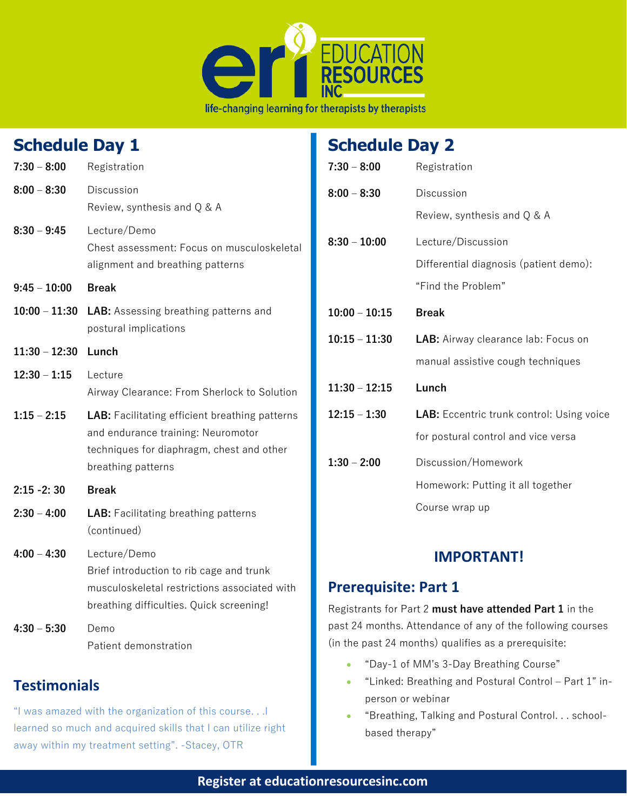

#### **Schedule Day 1 7:30 – 8:00** Registration **8:00 – 8:30** Discussion Review, synthesis and Q & A **8:30 – 9:45** Lecture/Demo Chest assessment: Focus on musculoskeletal alignment and breathing patterns **9:45 – 10:00 Break 10:00 – 11:30 LAB:** Assessing breathing patterns and postural implications **11:30 – 12:30 Lunch 12:30 – 1:15** Lecture Airway Clearance: From Sherlock to Solution **1:15 – 2:15 LAB:** Facilitating efficient breathing patterns and endurance training: Neuromotor techniques for diaphragm, chest and other breathing patterns **2:15 -2: 30 Break 2:30 – 4:00 LAB:** Facilitating breathing patterns (continued) **4:00 – 4:30** Lecture/Demo Brief introduction to rib cage and trunk musculoskeletal restrictions associated with breathing difficulties. Quick screening! **4:30 – 5:30** Demo Patient demonstration **Testimonials Schedule Day 2 7:30 – 8:00** Registration **8:00 – 8:30** Discussion Review, synthesis and Q & A **8:30 – 10:00** Lecture/Discussion Differential diagnosis (patient demo): "Find the Problem" **10:00 – 10:15 Break 10:15 – 11:30 LAB:** Airway clearance lab: Focus on manual assistive cough techniques **11:30 – 12:15 Lunch 12:15 – 1:30 LAB:** Eccentric trunk control: Using voice for postural control and vice versa **1:30 – 2:00** Discussion/Homework Homework: Putting it all together Course wrap up **IMPORTANT! Prerequisite: Part 1** Registrants for Part 2 **must have attended Part 1** in the past 24 months. Attendance of any of the following courses (in the past 24 months) qualifies as a prerequisite: • "Day-1 of MM's 3-Day Breathing Course"

### • "Linked: Breathing and Postural Control – Part 1" inperson or webinar

• "Breathing, Talking and Postural Control. . . schoolbased therapy"

"I was amazed with the organization of this course. . .I learned so much and acquired skills that I can utilize right

away within my treatment setting". -Stacey, OTR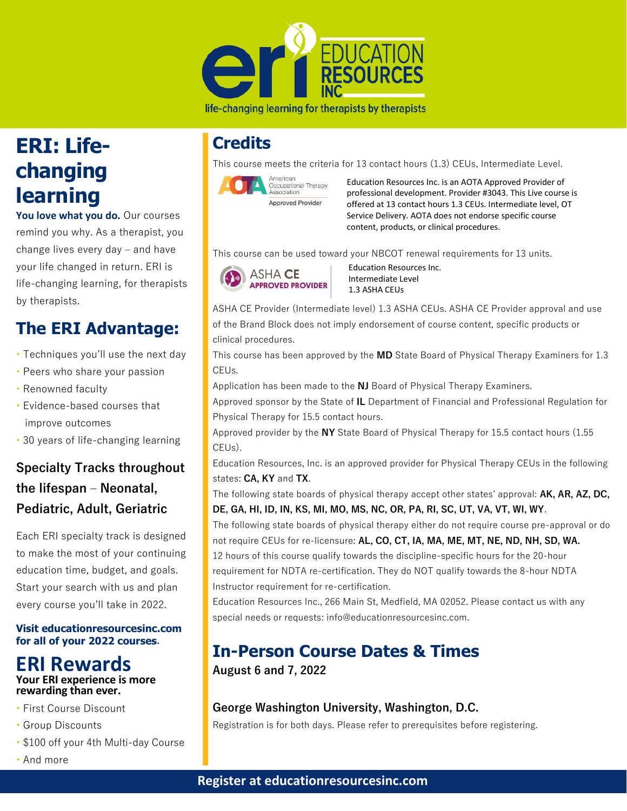

#### life-changing learning for therapists by therapists

# **ERI: Lifechanging learning**

**You love what you do.** Our courses remind you why. As a therapist, you change lives every day – and have your life changed in return. ERI is life-changing learning, for therapists by therapists.

# **The ERI Advantage:**

- Techniques you'll use the next day
- Peers who share your passion
- Renowned faculty
- Evidence-based courses that improve outcomes
- 30 years of life-changing learning

### **Specialty Tracks throughout the lifespan – Neonatal, Pediatric, Adult, Geriatric**

Each ERI specialty track is designed to make the most of your continuing education time, budget, and goals. Start your search with us and plan every course you'll take in 2022.

#### **Visit educationresourcesinc.com for all of your 2022 courses.**

### **ERI Rewards Your ERI experience is more rewarding than ever.**

- First Course Discount
- Group Discounts
- \$100 off your 4th Multi-day Course
- And more

# **Credits**

This course meets the criteria for 13 contact hours (1.3) CEUs, Intermediate Level.



Education Resources Inc. is an AOTA Approved Provider of professional development. Provider #3043. This Live course is offered at 13 contact hours 1.3 CEUs. Intermediate level, OT Service Delivery. AOTA does not endorse specific course content, products, or clinical procedures.

This course can be used toward your NBCOT renewal requirements for 13 units.



 Education Resources Inc. Intermediate Level 1.3 ASHA CEUs

ASHA CE Provider (Intermediate level) 1.3 ASHA CEUs. ASHA CE Provider approval and use of the Brand Block does not imply endorsement of course content, specific products or clinical procedures.

This course has been approved by the **MD** State Board of Physical Therapy Examiners for 1.3 CEUs.

Application has been made to the **NJ** Board of Physical Therapy Examiners.

Approved sponsor by the State of **IL** Department of Financial and Professional Regulation for Physical Therapy for 15.5 contact hours.

Approved provider by the **NY** State Board of Physical Therapy for 15.5 contact hours (1.55 CEUs).

Education Resources, Inc. is an approved provider for Physical Therapy CEUs in the following states: **CA, KY** and **TX**.

The following state boards of physical therapy accept other states' approval: **AK, AR, AZ, DC, DE, GA, HI, ID, IN, KS, MI, MO, MS, NC, OR, PA, RI, SC, UT, VA, VT, WI, WY**.

The following state boards of physical therapy either do not require course pre-approval or do not require CEUs for re-licensure: **AL, CO, CT, IA, MA, ME, MT, NE, ND, NH, SD, WA.** 12 hours of this course qualify towards the discipline-specific hours for the 20-hour requirement for NDTA re-certification. They do NOT qualify towards the 8-hour NDTA Instructor requirement for re-certification.

Education Resources Inc., 266 Main St, Medfield, MA 02052. Please contact us with any special needs or requests: info@educationresourcesinc.com.

# **In-Person Course Dates & Times**

**August 6 and 7, 2022** 

### **George Washington University, Washington, D.C.**

Registration is for both days. Please refer to prerequisites before registering.

### **Register at educationresourcesinc.com**